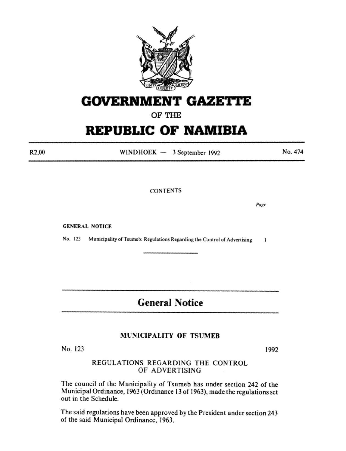

# **GOVERNMENT GAZETTE**

OF THE

# **REPUBLIC OF NAMIBIA**

 $WINDHOEK - 3 September 1992$ 

No. 474

CONTENTS

Page

GENERAL NOTICE

No. 123 Municipality of Tsumeb: Regulations Regarding the Control of Advertising  $\mathbf{I}$ 

**General Notice** 

## MUNICIPALITY OF TSUMEB

No. 123

REGULATIONS REGARDING THE CONTROL OF ADVERTISING

The council of the Municipality of Tsumeb has under section 242 of the Municipal Ordinance, 1963 (Ordinance 13 of 1963), made the regulations set out in the Schedule.

The said regulations have been approved by the President under section 243 of the said Municipal Ordinance, 1963.

1992

R2,00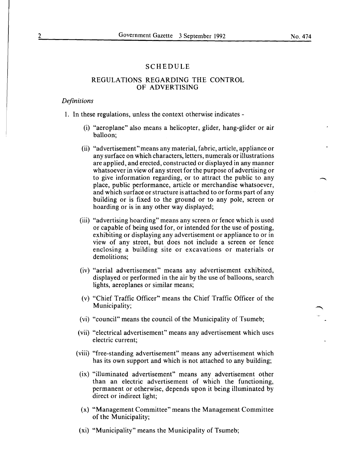### SCHEDULE

## REGULATIONS REGARDING THE CONTROL OF ADVERTISING

#### *Definitions*

- 1. In these regulations, unless the context otherwise indicates
	- (i) "aeroplane" also means a helicopter, glider, hang-glider or air balloon;
	- (ii) "advertisement"means any material, fabric, article, appliance or any surface on which characters, letters, numerals or illustrations are applied, and erected, constructed or displayed in any manner whatsoever in view of any street for the purpose of advertising or to give information regarding, or to attract the public to any place, public performance, article or merchandise whatsoever, and which surface or structure is attached to or forms part of any building or is fixed to the ground or to any pole, screen or hoarding or is in any other way displayed;
	- (iii) "advertising hoarding" means any screen or fence which is used or capable of being used for, or intended for the use of posting, exhibiting or displaying any advertisement or appliance to or in view of any street, but does not include a screen or fence enclosing a building site or excavations or materials or demolitions;
	- (iv) "aerial advertisement" means any advertisement exhibited, displayed or performed in the air by the use of balloons, search lights, aeroplanes or similar means;
	- (v) "Chief Traffic Officer" means the Chief Traffic Officer of the Municipality;
	- (vi) "council" means the council of the Municipality of Tsumeb;
	- (vii) "electrical advertisement" means any advertisement which uses electric current;
	- (viii) "free-standing advertisement" means any advertisement which has its own support and which is not attached to any building;
	- (ix) "illuminated advertisement" means any advertisement other than an electric advertisement of which the functioning, permanent or otherwise, depends upon it being illuminated by direct or indirect light;
	- (x) "Management Committee" means the Management Committee of the Municipality;
	- (xi) "Municipality" means the Municipality of Tsumeb;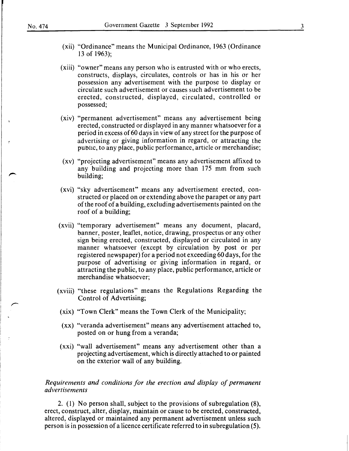- (xii) "Ordinance" means the Municipal Ordinance, 1963 (Ordinance 13 of 1963):
- (xiii) "owner" means any person who is entrusted with or who erects, constructs, displays, circulates, controls or has in his or her possession any advertisement with the purpose to display or circulate such advertisement or causes such advertisement to be erected, constructed, displayed, circulated, controlled or possessed;
- (xiv) "permanent advertisement" means any advertisement being erected, constructed or displayed in any manner whatsoever for a period in excess of 60 days in view of any street for the purpose of advertising or giving information in regard, or attracting the public, to any place, public performance, article or merchandise;
- (xv) "projecting advertisement" means any advertisement affixed to any building and projecting more than 175 mm from such building;
- (xvi) "sky advertisement" means any advertisement erected, constructed or placed on or extending above the parapet or any part of the roof of a building, excluding advertisements painted on the roof of a building;
- (xvii) "temporary advertisement" means any document, placard, banner, poster, leaflet, notice, drawing, prospectus or any other sign being erected, constructed, displayed or circulated in any manner whatsoever (except by circulation by post or per registered newspaper) for a period not exceeding 60 days, for the purpose of advertising or giving information in regard, or attracting the public, to any place, public performance, article or merchandise whatsoever;
- (xviii) "these regulations" means the Regulations Regarding the Control of Advertising;
- (xix) "Town Clerk" means the Town Clerk of the Municipality;
- (xx) "veranda advertisement" means any advertisement attached to, posted on or hung from a veranda;
- (xxi) "wall advertisement" means any advertisement other than a projecting advertisement, which is directly attached to or painted on the exterior wall of any building.

## *Requirements and conditions for the erection and display of permanent advertisements*

2. ( 1) No person shall, subject to the provisions of subregulation (8), erect, construct, alter, display, maintain or cause to be erected, constructed, altered, displayed or maintained any permanent advertisement unless such person is in possession of a licence certificate referred to in subregulation (5).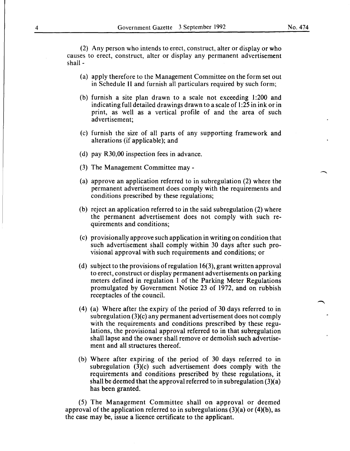(2) Any person who intends to erect, construct, alter or display or who causes to erect, construct, alter or display any permanent advertisement shall -

- (a) apply therefore to the Management Committee on the form set out in Schedule II and furnish all particulars required by such form;
- (b) furnish a site plan drawn to a scale not exceeding 1:200 and indicating full detailed drawings drawn to a scale of 1:25 in ink or in print, as well as a vertical profile of and the area of such advertisement;
- (c) furnish the size of all parts of any supporting framework and alterations (if applicable); and
- (d) pay R30,00 inspection fees in advance.
- (3) The Management Committee may -
- (a) approve an application referred to in subregulation (2) where the permanent advertisement does comply with the requirements and conditions prescribed by these regulations;
- (b) reject an application referred to in the said subregulation (2) where the permanent advertisement does not comply with such requirements and conditions;
- (c) provisionally approve such application in writing on condition that such advertisement shall comply within 30 days after such provisional approval with such requirements and conditions; or
- (d) subject to the provisions of regulation 16(3), grant written approval to erect, construct or display permanent advertisements on parking meters defined in regulation 1 of the Parking Meter Regulations promulgated by Government Notice 23 of 1972, and on rubbish receptacles of the council.
- (4) (a) Where after the expiry of the period of 30 days referred to in subregulation (3)(c) any permanent advertisement does not comply with the requirements and conditions prescribed by these regulations, the provisional approval referred to in that subregulation shall lapse and the owner shall remove or demolish such advertisement and all structures thereof.
- (b) Where after expiring of the period of 30 days referred to in subregulation (3)(c) such advertisement does comply with the requirements and conditions prescribed by these regulations, it shall be deemed that the approval referred to in subregulation  $(3)(a)$ has been granted.

(5) The Management Committee shall on approval or deemed approval of the application referred to in subregulations  $(3)(a)$  or  $(4)(b)$ , as the case may be, issue a licence certificate to the applicant.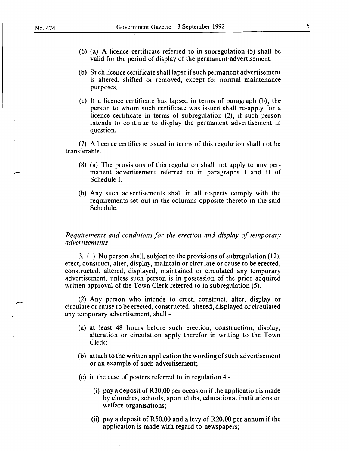- (6) (a) A licence certificate referred to in subregulation (5) shall be valid for the period of display of the permanent advertisement.
- (b) Such licence certificate shall lapse if such permanent advertisement is altered, shifted or removed, except for normal maintenance purposes.
- (c) If a licence certificate has lapsed in terms of paragraph (b), the person to whom such certificate was issued shall re-apply for a licence certificate in terms of subregulation (2), if such person intends to continue to display the permanent advertisement in question.

(7) A licence certificate issued in terms of this regulation shall not be transferable.

- (8) (a) The provisions of this regulation shall not apply to any permanent advertisement referred to in paragraphs I and II of Schedule I.
- (b) Any such advertisements shall in all respects comply with the requirements set out in the columns opposite thereto in the said Schedule.

*Requirements and conditions for the erection and display of temporary advertisements* 

3. (1) No person shall, subject to the provisions of subregulation (12), erect, construct, alter, display, maintain or circulate or cause to be erected, constructed, altered, displayed, maintained or circulated any temporary advertisement, unless such person is in possession of the prior acquired written approval of the Town Clerk referred to in subregulation (5).

(2) Any person who intends to erect, construct, alter, display or circulate or cause to be erected, constructed, altered, displayed or circulated any temporary advertisement, shall -

- (a) at least 48 hours before such erection, construction, display, alteration or circulation apply therefor in writing to the Town Clerk;
- (b) attach to the written application the wording of such advertisement or an example of such advertisement;
- (c) in the case of posters referred to in regulation 4
	- (i) pay a deposit of R30,00 per occasion if the application is made by churches, schools, sport clubs, educational institutions or welfare organisations;
	- (ii) pay a deposit of R50,00 and a levy of R20,00 per annum if the application is made with regard to newspapers;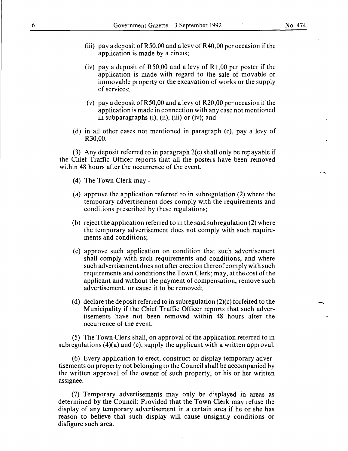- (iii) pay a deposit of R50,00 and a levy of R40,00 per occasion if the application is made by a circus;
- (iv) pay a deposit of  $R50,00$  and a levy of  $R1,00$  per poster if the application is made with regard to the sale of movable or immovable property or the excavation of works or the supply of services;
- (v) pay a deposit of R50,00 and a levy of R20,00 per occasion if the application is made in connection with any case not mentioned in subparagraphs (i), (ii), (iii) or (iv); and
- (d) in all other cases not mentioned in paragraph (c), pay a levy of R30,00.

(3) Any deposit referred to in paragraph 2(c) shall only be repayable if the Chief Traffic Officer reports that all the posters have been removed within 48 hours after the occurrence of the event.

- (4) The Town Clerk may-
- (a) approve the application referred to in subregulation (2) where the temporary advertisement does comply with the requirements and conditions prescribed by these regulations;
- (b) reject the application referred to in the said subregulation (2) where the temporary advertisement does not comply with such requirements and conditions;
- (c) approve such application on condition that such advertisement shall comply with such requirements and conditions, and where such advertisement does not after erection thereof comply with such requirements and conditions the Town Clerk; may, at the cost of the applicant and without the payment of compensation, remove such advertisement, or cause it to be removed;
- (d) declare the deposit referred to in subregulation (2)(c) forfeited to the Municipality if the Chief Traffic Officer reports that such advertisements have not been removed within 48 hours after the occurrence of the event.

(5) The Town Clerk shall, on approval of the application referred to in subregulations (4)(a) and (c), supply the applicant with a written approval.

(6) Every application to erect, construct or display temporary advertisements on property not belonging to the Council shall be accompanied by the written approval of the owner of such property, or his or her written assignee.

(7) Temporary advertisements may only be displayed in areas as determined by the Council: Provided that the Town Clerk may refuse the display of any temporary advertisement in a certain area if he or she has reason to believe that such display will cause unsightly conditions or disfigure such area.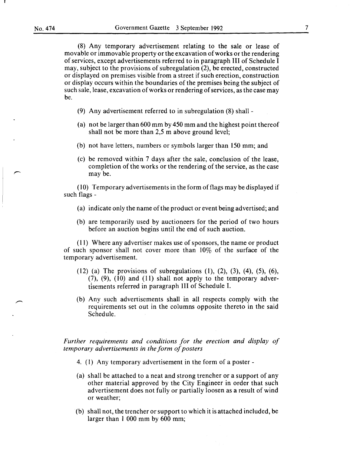(8) Any temporary advertisement relating to the sale or lease of movable or immovable property or the excavation of works or the rendering of services, except advertisements referred to in paragraph III of Schedule I may, subject to the provisions of subregulation (2), be erected, constructed or displayed on premises visible from a street if such erection, construction or display occurs within the boundaries of the premises being the subject of such sale, lease, excavation of works or rendering of services, as the case may be.

- (9) Any advertisement referred to in subregulation (8) shall -
- (a) not be larger than 600 mm by 450 mm and the highest point thereof shall not be more than 2,5 m above ground level;
- (b) not have letters, numbers or symbols larger than 150 mm; and
- (c) be removed within 7 days after the sale, conclusion of the lease, completion of the works or the rendering of the service, as the case may be.

( $10$ ) Temporary advertisements in the form of flags may be displayed if such flags-

- (a) indicate only the name of the product or event being advertised; and
- (b) are temporarily used by auctioneers for the period of two hours before an auction begins until the end of such auction.

(11) Where any advertiser makes use of sponsors, the name or product of such sponsor shall not cover more than  $10\%$  of the surface of the temporary advertisement.

- (12) (a) The provisions of subregulations (1), (2), (3), (4), (5), (6),  $(7)$ ,  $(9)$ ,  $(10)$  and  $(11)$  shall not apply to the temporary advertisements referred in paragraph III of Schedule I.
- (b) Any such advertisements shall in all respects comply with the requirements set out in the columns opposite thereto in the said Schedule.

*Further requirements and conditions for the erection and display of temporary advertisements in the form of posters* 

- 4. (I) Any temporary advertisement in the form of a poster -
- (a) shall be attached to a neat and strong trencher or a support of any other material approved by the City Engineer in order that such advertisement does not fully or partially loosen as a result of wind or weather;
- (b) shall not, the trencher or support to which it is attached included, be larger than I 000 mm by 600 mm;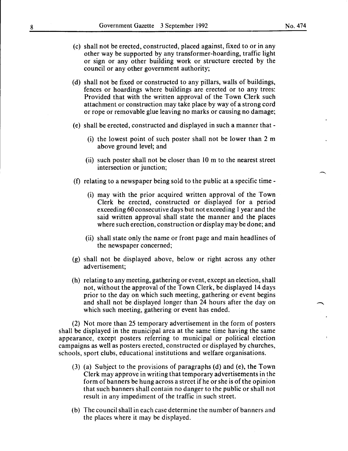- (c) shall not be erected, constructed, placed against, fixed to or in any other way be supported by any transformer-hoarding, traffic light or sign or any other building work or structure erected by the council or any other government authority;
- (d) shall not be fixed or constructed to any pillars, walls of buildings, fences or hoardings where buildings are erected or to any trees: Provided that with the written approval of the Town Clerk such attachment or construction may take place by way of a strong cord or rope or removable glue leaving no marks or causing no damage;
- (e) shall be erected, constructed and displayed in such a manner that-
	- (i) the lowest point of such poster shall not be lower than 2 m above ground level; and
	- (ii) such poster shall not be closer than 10 m to the nearest street intersection or junction;
- (f) relating to a newspaper being sold to the public at a specific time
	- (i) may with the prior acquired written approval of the Town Clerk be erected, constructed or displayed for a period exceeding 60 consecutive days but not exceeding 1 year and the said written approval shall state the manner and the places where such erection, construction or display may be done; and
	- (ii) shall state only the name or front page and main headlines of the newspaper concerned;
- (g) shall not be displayed above, below or right across any other advertisement;
- (h) relating to any meeting, gathering or event, except an election, shall not, without the approval of the Town Clerk, be displayed 14 days prior to the day on which such meeting, gathering or event begins and shall not be displayed longer than 24 hours after the day on which such meeting, gathering or event has ended.

(2) Not more than 25 temporary advertisement in the form of posters shall be displayed in the municipal area at the same time having the same appearance, except posters referring to municipal or political election campaigns as well as posters erected, constructed or displayed by churches, schools, sport clubs, educational institutions and welfare organisations.

- (3) (a) Subject to the provisions of paragraphs (d) and (e), the Town Clerk may approve in writing that temporary advertisements in the form of banners be hung across a street if he or she is of the opinion that such banners shall contain no danger to the public or shall not result in any impediment of the traffic in such street.
- (b) The council shall in each case determine the number of banners and the places where it may be displayed.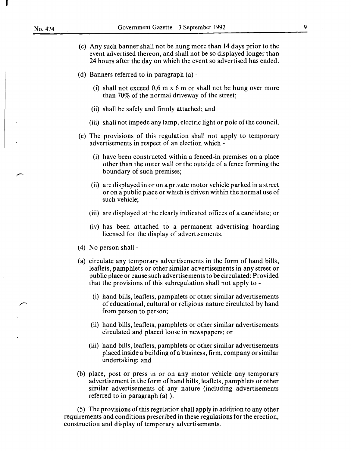- (c) Any such banner shall not be hung more than 14 days prior to the event advertised thereon, and shall not be so displayed longer than 24 hours after the day on which the event so advertised has ended.
- (d) Banners referred to in paragraph (a)-
	- (i) shall not exceed 0,6 m x 6 m or shall not be hung over more than 70% of the normal driveway of the street;
	- (ii) shall be safely and firmly attached; and
	- (iii) shall not impede any lamp, electric light or pole of the council.
- (e) The provisions of this regulation shall not apply to temporary advertisements in respect of an election which -
	- (i) have been constructed within a fenced-in premises on a place other than the outer wall or the outside of a fence forming the boundary of such premises;
	- (ii) are displayed in or on a private motor vehicle parked in a street or on a public place or which is driven within the normal use of such vehicle;
	- (iii) are displayed at the clearly indicated offices of a candidate; or
	- (iv) has been attached to a permanent advertising hoarding licensed for the display of advertisements.
- (4) No person shall-
- (a) circulate any temporary advertisements in the form of hand bills, leaflets, pamphlets or other similar advertisements in any street or public place or cause such advertisements to be circulated: Provided that the provisions of this subregulation shall not apply to -
	- (i) hand bills, leaflets, pamphlets or other similar advertisements of educational, cultural or religious nature circulated by hand from person to person;
	- (ii) hand bills, leaflets, pamphlets or other similar advertisements circulated and placed loose in newspapers; or
	- (iii) hand bills, leaflets, pamphlets or other similar advertisements placed inside a building of a business, firm, company or similar undertaking; and
- (b) place, post or press in or on any motor vehicle any temporary advertisement in the form of hand bills, leaflets, pamphlets or other similar advertisements of any nature (including advertisements referred to in paragraph (a) ).

(5) The provisions of this regulation shall apply in addition to any other requirements and conditions prescribed in these regulations for the erection, construction and display of temporary advertisements.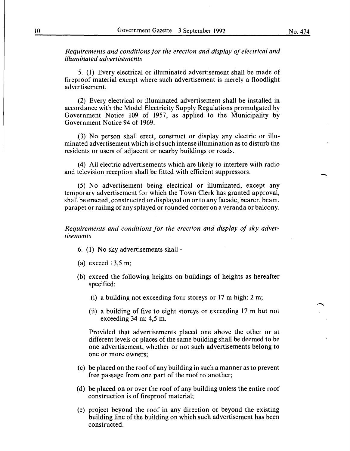*Requirements and conditions for the erection and display of electrical and illuminated advertisements* 

5. (1) Every electrical or illuminated advertisement shall be made of fireproof material except where such advertisement is merely a floodlight advertisement.

(2) Every electrical or illuminated advertisement shall be installed in accordance with the Model Electricity Supply Regulations promulgated by Government Notice 109 of 1957, as applied to the Municipality by Government Notice 94 of 1969.

(3) No person shall erect, construct or display any electric or illuminated advertisement which is of such intense illumination as to disturb the residents or users of adjacent or nearby buildings or roads.

(4) All electric advertisements which are likely to interfere with radio and television reception shall be fitted with efficient suppressors.

(5) No advertisement being electrical or illuminated, except any temporary advertisement for which the Town Clerk has granted approval, shall be erected, constructed or displayed on or to any facade, bearer, beam, parapet or railing of any splayed or rounded corner on a veranda or balcony.

*Requirements and conditions for the erection and display of sky advertisements* 

- 6. (1) No sky advertisements shall-
- (a) exceed 13,5 m;
- (b) exceed the following heights on buildings of heights as hereafter specified:
	- (i) a building not exceeding four storeys or 17 m high: 2 m;
	- (ii) a building of five to eight storeys or exceeding 17 m but not exceeding 34 m: 4,5 m.

Provided that advertisements placed one above the other or at different levels or places of the same building shall be deemed to be one advertisement, whether or not such advertisements belong to one or more owners;

- (c) be placed on the roof of any building in such a manner as to prevent free passage from one part of the roof to another;
- (d) be placed on or over the roof of any building unless the entire roof construction is of fireproof material;
- (e) project beyond the roof in any direction or beyond the existing building line of the building on which such advertisement has been constructed.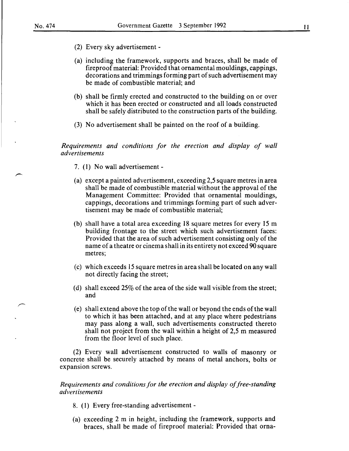- (2) Every sky advertisement -
- (a) including the framework, supports and braces, shall be made of fireproof material: Provided that ornamental mouldings, cappings, decorations and trimmings forming part of such advertisement may be made of combustible material; and
- (b) shall be firmly erected and constructed to the building on or over which it has been erected or constructed and all loads constructed shall be safely distributed to the construction parts of the building.
- (3) No advertisement shall be painted on the roof of a building.

*Requirements and conditions for the erection and display of wall advertisements* 

- 7. ( 1) No wall advertisement -
- (a) except a painted advertisement, exceeding 2,5 square metres in area shall be made of combustible material without the approval of the Management Committee: Provided that ornamental mouldings, cappings, decorations and trimmings forming part of such advertisement may be made of combustible material;
- (b) shall have a total area exceeding 18 square metres for every 15m building frontage to the street which such advertisement faces: Provided that the area of such advertisement consisting only of the name of a theatre or cinema shall in its entirety not exceed 90 square metres;
- (c) which exceeds 15 square metres in area shall be located on any wall not directly facing the street;
- (d) shall exceed  $25\%$  of the area of the side wall visible from the street; and
- (e) shall extend above the top of the wall or beyond the ends of the wall to which it has been attached, and at any place where pedestrians may pass along a wall, such advertisements constructed thereto shall not project from the wall within a height of 2,5 m measured from the floor level of such place.

(2) Every wall advertisement constructed to walls of masonry or concrete shall be securely attached by means of metal anchors, bolts or expansion screws.

*Requirements and conditions for the erection and display of free-standing advertisements* 

- 8. ( 1) Every free-standing advertisement -
- (a) exceeding 2 m in height, including the framework, supports and braces, shall be made of fireproof material: Provided that orna-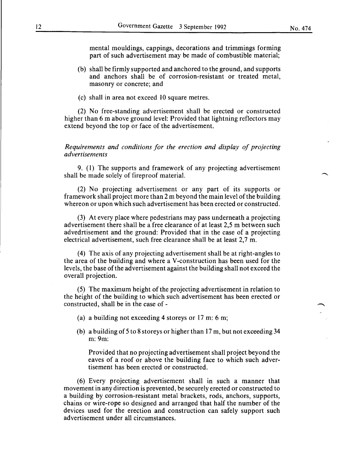mental mouldings, cappings, decorations and trimmings forming part of such advertisement may be made of combustible material;

- (b) shall be firmly supported and anchored to the ground, and supports and anchors shall be of corrosion-resistant or treated metal, masonry or concrete; and
- (c) shall in area not exceed 10 square metres.

(2) No free-standing advertisement shall be erected or constructed higher than 6 m above ground level: Provided that lightning reflectors may extend beyond the top or face of the advertisement.

## *Requirements and conditions for the erection and display of projecting advertisements*

9. (1) The supports and framework of any projecting advertisement shall be made solely of fireproof material.

(2) No projecting advertisement or any part of its supports or framework shall project more than 2m beyond the main level of the building whereon or upon which such advertisement has been erected or constructed.

(3) At every place where pedestrians may pass underneath a projecting advertisement there shall be a free clearance of at least 2,5 m between such advedrtisement and the ground: Provided that in the case of a projecting electrical advertisement, such free clearance shall be at least 2,7 m.

(4) The axis of any projecting advertisement shall be at right-angles to the area of the building and where a V -construction has been used for the levels, the base ofthe advertisement against the building shall not exceed the overall projection.

(5) The maximum height of the projecting advertisement in relation to the height of the building to which such advertisement has been erected or constructed, shall be in the case of-

- (a) a building not exceeding 4 storeys or 17 m: 6 m;
- (b) a building of 5 to 8 storeys or higher than 17 m, but not exceeding 34 m:9m:

Provided that no projecting advertisement shall project beyond the eaves of a roof or above the building face to which such advertisement has been erected or constructed.

(6) Every projecting advertisement shall in such a manner that movement in any direction is prevented, be securely erected or constructed to a building by corrosion-resistant metal brackets, rods, anchors, supports, chains or wire-rope so designed and arranged that half the number of the devices used for the erection and construction can safely support such advertisement under all circumstances.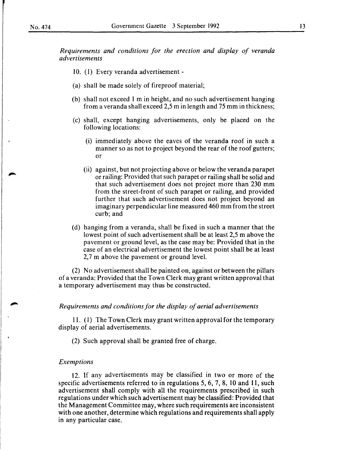*Requirements and conditions for the erection and display of veranda advertisements* 

- 10. (1) Every veranda advertisement -
- (a) shall be made solely of fireproof material;
- (b) shall not exceed 1 min height, and no such advertisement hanging from a veranda shall exceed 2,5 min length and 75 mm in thickness;
- (c) shall, except hanging advertisements, only be placed on the following locations:
	- (i) immediately above the eaves of the veranda roof in such a manner so as not to project beyond the rear of the roof gutters; or
	- (ii) against, but not projecting above or below the veranda parapet or railing: Provided that such parapet or railing shall be solid and that such advertisement does not project more than 230 mm from the street-front of such parapet or railing, and provided further that such advertisement does not project beyond an imaginary perpendicular line measured 460 mm from the street curb; and
- (d) hanging from a veranda, shall be fixed in such a manner that the lowest point of such advertisement shall be at least 2,5 m above the pavement or ground level, as the case may be: Provided that in the case of an electrical advertisement the lowest point shall be at least 2.7 m above the pavement or ground level.

(2) No advertisement shall be painted on, against or between the pillars of a veranda: Provided that the Town Clerk may grant written approval that a temporary advertisement may thus be constructed.

#### *Requirements and conditions for the display of aerial advertisements*

11. (1) The Town Clerk may grant written approval for the temporary display of aerial advertisements.

(2) Such approval shall be granted free of charge.

#### *Exemptions*

12. If any advertisements may be classified in two or more of the specific advertisements referred to in regulations 5, 6, 7, 8, 10 and 11, such advertisement shall comply with all the requirements prescribed in such regulations under which such advertisement may be classified: Provided that the Management Committee may, where such requirements are inconsistent with one another, determine which regulations and requirements shall apply in any particular case.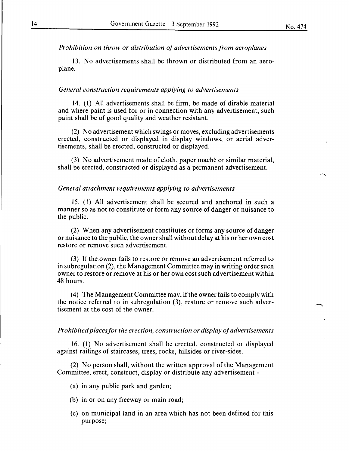*Prohibition on throw or distribution of advertisements from aeroplanes* 

13. No advertisements shall be thrown or distributed from an aeroplane.

#### *General construction requirements applying to advertisements*

14. ( 1) All advertisements shall be firm, be made of dirable material and where paint is used for or in connection with any advertisement, such paint shall be of good quality and weather resistant.

(2) No advertisement which swings or moves, excluding advertisements erected, constructed or displayed in display windows, or aerial advertisements, shall be erected, constructed or displayed.

(3) No advertisement made of cloth, paper mache or similar material, shall be erected, constructed or displayed as a permanent advertisement.

#### *General attachment requirements applying to advertisements*

15. (1) All advertisement shall be secured and anchored in such a manner so as not to constitute or form any source of danger or nuisance to the public.

(2) When any advertisement constitutes or forms any source of danger or nuisance to the public, the owner shall without delay at his or her own cost restore or remove such advertisement.

(3) If the owner fails to restore or remove an advertisement referred to in subregulation (2), the Management Committee may in writing order such owner to restore or remove at his or her own cost such advertisement within 48 hours.

( 4) The Management Committee may, if the owner fails to comply with the notice referred to in subregulation (3), restore or remove such advertisement at the cost of the owner.

#### *Prohibited places for the erection, construction or display of advertisements*

16. ( 1) No advertisement shall be erected, constructed or displayed against railings of staircases, trees, rocks, hillsides or river-sides.

(2) No person shall, without the written approval of the Management Committee, erect, construct, display or distribute any advertisement -

(a) in any public park and garden;

- (b) in or on any freeway or main road;
- (c) on municipal land in an area which has not been defined for this purpose;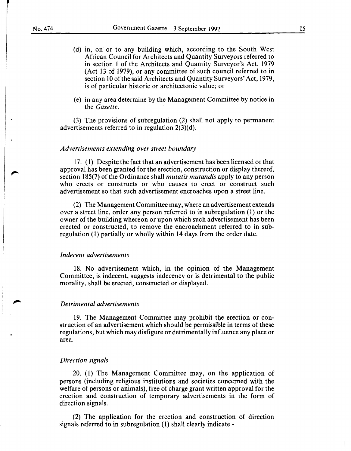- (d) in, on or to any building which, according to the South West African Council for Architects and Quantity Surveyors referred to in section 1 of the Architects and Quantity Surveyor's Act, 1979 (Act 13 of 1979), or any committee of such council referred to in section 10 of the said Architects and Quantity Surveyors' Act, 1979, is of particular historic or architectonic value; or
- (e) in any area determine by the Management Committee by notice in the *Gazette.*

(3) The provisions of subregulation (2) shall not apply to permanent advertisements referred to in regulation  $2(3)(d)$ .

#### *Advertisements extending over street boundary*

17. ( 1) Despite the fact that an advertisement has been licensed or that approval has been granted for the erection, construction or display thereof, section 185(7) of the Ordinance shall *mutatis mutandis* apply to any person who erects or constructs or who causes to erect or construct such advertisement so that such advertisement encroaches upon a street line.

(2) The Management Committee may, where an advertisement extends over a street line, order any person referred to in subregulation ( 1) or the owner of the building whereon or upon which such advertisement has been erected or constructed, to remove the encroachment referred to in subregulation (1) partially or wholly within 14 days from the order date.

#### *Indecent advertisements*

18. No advertisement which, in the opinion of the Management Committee, is indecent, suggests indecency or is detrimental to the public morality, shall be erected, constructed or displayed.

#### *Detrimental advertisements*

19. The Management Committee may prohibit the erection or construction of an advertisement which should be permissible in terms of these regulations, but which may disfigure or detrimentally influence any place or area.

#### *Direction signals*

20. (1) The Management Committee may, on the application of persons (including religious institutions and societies concerned with the welfare of persons or animals), free of charge grant written approval for the erection and construction of temporary advertisements in the form of direction signals.

(2) The application for the erection and construction of direction signals referred to in subregulation (1) shall clearly indicate -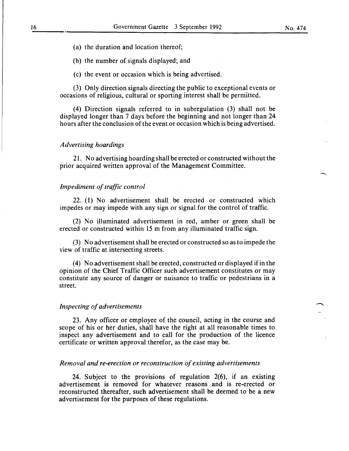- (a) the duration and location thereof;
- (b) the number of signals displayed; and
- (c) the event or occasion which is being advertised.

(3) Only direction signals directing the public to exceptional events or occasions of religious, cultural or sporting interest shall be permitted.

(4) Direction signals referred to in subregulation (3) shall not be displayed longer than 7 days before the beginning and not longer than 24 hours after the conclusion of the event or occasion which is being advertised.

#### *Advertising hoardings*

21. No advertising hoarding shall be erected or constructed without the prior acquired written approval of the Management Committee.

#### *Impediment of traffic control*

22. (1) No advertisement shall be erected or constructed which impedes or may impede with any sign or signal for the control of traffic.

(2) No illuminated advertisement in red, amber or green shall be erected or constructed within 15 m from any illuminated traffic sign.

(3) No advertisement shall be erected or constructed so as to impede the view of traffic at intersecting streets.

( 4) No advertisement shall be erected, constructed or displayed if in the opinion of the Chief Traffic Officer such advertisement constitutes or may constitute any source of danger or nuisance to traffic or pedestrians in a street.

#### *Inspecting of advertisements*

23. Any officer or employee of the council, acting in the course and scope of his or her duties, shall have the right at all reasonable times to inspect any advertisement and to call for the production of the licence certificate or written approval therefor, as the case may be.

#### *Removal and re-erection or reconstruction of existing advertisements*

24. Subject to the provisions of regulation 2(6), if an existing advertisement is removed for whatever reasons and is re-erected or reconstructed thereafter, such advertisement shall be deemed to be a new advertisement for the purposes of these regulations.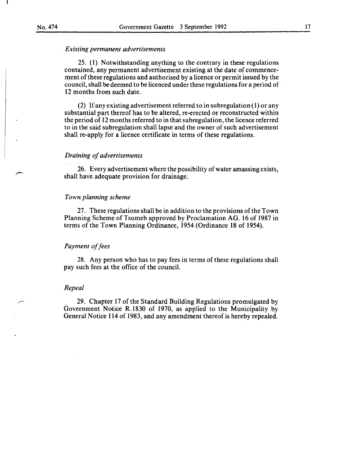#### *Existing permanent advertisements*

25. (1) Notwithstanding anything to the contrary in these regulations contained, any permanent advertisement existing at the date of commencement of these regulations and authorised by a licence or permit issued by the council, shall be deemed to be licenced under these regulations for a period of 12 months from such date.

(2) If any existing advertisement referred to in subregulation ( 1) or any substantial part thereof has to be altered, re-erected or reconstructed within the period of 12 months referred to in that subregulation, the licence referred to in the said subregulation shall lapse and the owner of such advertisement shall re-apply for a licence certificate in terms of these regulations.

#### *Draining of advertisements*

26. Every advertisement where the possibility of water amassing exists, shall have adequate provision for drainage.

## *Town planning scheme*

27. These regulations shall be in addition to the provisions of the Town Planning Scheme of Tsumeb approved by Proclamation AG. 16 of 1987 in terms of the Town Planning Ordinance, 1954 (Ordinance 18 of 1954).

#### *Payment of fees*

28. Any person who has to pay fees in terms of these regulations shall pay such fees at the office of the council.

#### *Repeal*

, 29. Chapter 17 of the Standard Building Regulations promulgated by Government Notice R.1830 of 1970, as applied to the Municipality by General Notice 114 of 1983, and any amendment thereof is hereby repealed.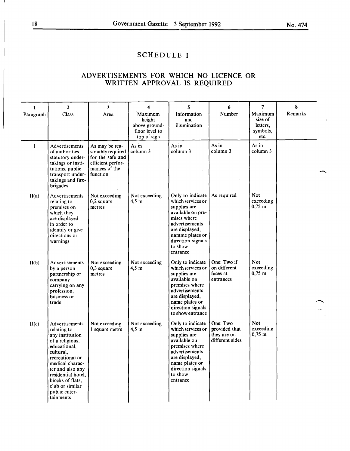## **SCHEDULE I**

## **ADVERTISEMENTS FOR WHICH NO LICENCE OR WRITTEN APPROVAL IS REQUIRED**

| 1           | $\overline{2}$                                                                                                                                                                                                                                        | 3                                                                                                        | 4                                                                   | 5                                                                                                                                                                                            | 6                                                           | 7                                                  | 8       |
|-------------|-------------------------------------------------------------------------------------------------------------------------------------------------------------------------------------------------------------------------------------------------------|----------------------------------------------------------------------------------------------------------|---------------------------------------------------------------------|----------------------------------------------------------------------------------------------------------------------------------------------------------------------------------------------|-------------------------------------------------------------|----------------------------------------------------|---------|
| Paragraph   | Class                                                                                                                                                                                                                                                 | Area                                                                                                     | Maximum<br>height<br>above ground-<br>floor level to<br>top of sign | Information<br>and<br>illumination                                                                                                                                                           | Number                                                      | Maximum<br>size of<br>letters,<br>symbols,<br>etc. | Remarks |
| $\mathbf I$ | Advertisements<br>of authorities,<br>statutory under-<br>takings or insti-<br>tutions, public<br>transport under-<br>takings and fire-<br>brigades                                                                                                    | As may be rea-<br>sonably required<br>for the safe and<br>efficient perfor-<br>mances of the<br>function | As in<br>column 3                                                   | As in<br>column 3                                                                                                                                                                            | As in<br>column 3                                           | As in<br>column 3                                  |         |
| II(a)       | Advertisements<br>relating to<br>premises on<br>which they<br>are displayed<br>in order to<br>identify or give<br>directions or<br>warnings                                                                                                           | Not exceeding<br>0,2 square<br>metres                                                                    | Not exceeding<br>$4,5 \; \mathrm{m}$                                | Only to indicate<br>which services or<br>supplies are<br>available on pre-<br>mises where<br>advertisements<br>are displayed,<br>namme plates or<br>direction signals<br>to show<br>entrance | As required                                                 | Not.<br>exceeding<br>$0,75 \; m$                   |         |
| II(b)       | Advertisements<br>by a person<br>partnership or<br>company<br>carrying on any<br>profession,<br>business or<br>trade                                                                                                                                  | Not exceeding<br>$0,3$ square<br>metres                                                                  | Not exceeding<br>$4,5 \; \mathrm{m}$                                | Only to indicate<br>which services or<br>supplies are<br>available on<br>premises where<br>advertisements<br>are displayed,<br>name plates or<br>direction signals<br>to show entrance       | One: Two if<br>on different<br>faces at<br>entrances        | <b>Not</b><br>exceeding<br>$0,75 \; \mathrm{m}$    |         |
| II(c)       | Advertisements<br>relating to<br>any institution<br>of a religious,<br>educational,<br>cultural,<br>recreational or<br>medical charac-<br>ter and also any<br>residential hotel,<br>blocks of flats,<br>club or similar<br>public enter-<br>tainments | Not exceeding<br>I square metre                                                                          | Not exceeding<br>$4,5$ m                                            | Only to indicate<br>which services or<br>supplies are<br>available on<br>premises where<br>advertisements<br>are displayed,<br>name plates or<br>direction signals<br>to show<br>entrance    | One: Two<br>provided that<br>they are on<br>different sides | <b>Not</b><br>exceeding<br>$0,75 \; m$             |         |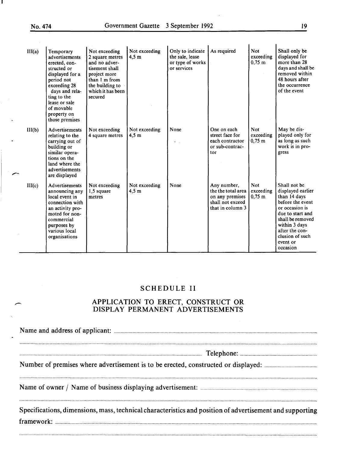$\overline{\phantom{a}}$ 

| III(a) | Temporary<br>advertisements<br>erected, con-<br>structed or<br>displayed for a<br>period not<br>exceeding 28<br>days and rela-<br>ting to the<br>lease or sale<br>of movable<br>property on<br>those premises | Not exceeding<br>2 square metres<br>and no adver-<br>tisement shall<br>project more<br>than 1 m from<br>the building to<br>which it has been<br>secured | Not exceeding<br>4.5 <sub>m</sub>    | Only to indicate<br>the sale, lease<br>or type of works<br>or services | As required                                                                                  | <b>Not</b><br>exceeding<br>$0,75 \; m$        | Shall only be<br>displayed for<br>more than 28<br>days and shall be<br>removed within<br>48 hours after<br>the occurrence<br>of the event                                                                     |
|--------|---------------------------------------------------------------------------------------------------------------------------------------------------------------------------------------------------------------|---------------------------------------------------------------------------------------------------------------------------------------------------------|--------------------------------------|------------------------------------------------------------------------|----------------------------------------------------------------------------------------------|-----------------------------------------------|---------------------------------------------------------------------------------------------------------------------------------------------------------------------------------------------------------------|
| III(b) | Advertisements<br>relating to the<br>carrying out of<br>building or<br>similar opera-<br>tions on the<br>land where the<br>advertisements<br>are displayed                                                    | Not exceeding<br>4 square metres                                                                                                                        | Not exceeding<br>4.5 <sub>m</sub>    | None                                                                   | One on each<br>street face for<br>each contractor<br>or sub-contrac-<br>tor                  | <b>Not</b><br>exceeding<br>$0,75 \; \text{m}$ | May be dis-<br>played only for<br>as long as such<br>work is in pro-<br>gress                                                                                                                                 |
| III(c) | Advertisements<br>announcing any<br>local event in<br>connection with<br>an activity pro-<br>moted for non-<br>commercial<br>purposes by<br>various local<br>organisations                                    | Not exceeding<br>1,5 square<br>metres                                                                                                                   | Not exceeding<br>$4,5 \; \mathrm{m}$ | None                                                                   | Any number,<br>the the total area<br>on any premises<br>shall not exceed<br>that in column 3 | <b>Not</b><br>exceeding<br>$0,75 \; \text{m}$ | Shall not be<br>displayed earlier<br>than 14 days<br>before the event<br>or occasion is<br>due to start and<br>shall be removed<br>within 3 days<br>after the con-<br>clusion of such<br>event or<br>occasion |

## SCHEDULE II

## APPLICATION TO ERECT, CONSTRUCT OR DISPLAY PERMANENT ADVERTISEMENTS

N arne and address of applicant: ........................................................................................................................................................................................ .

....................................................................................................................................................................... Telephone: ..................................................................... .

Number of premises where advertisement is to be erected, constructed or displayed: .............................................. ..

Name of owner/ Name of business displaying advertisement: ........................................................................................................ ..

Specifications, dimensions, mass, technical characteristics and position of advertisement and supporting framework: .............................................................................................................................................................................................................................................. .